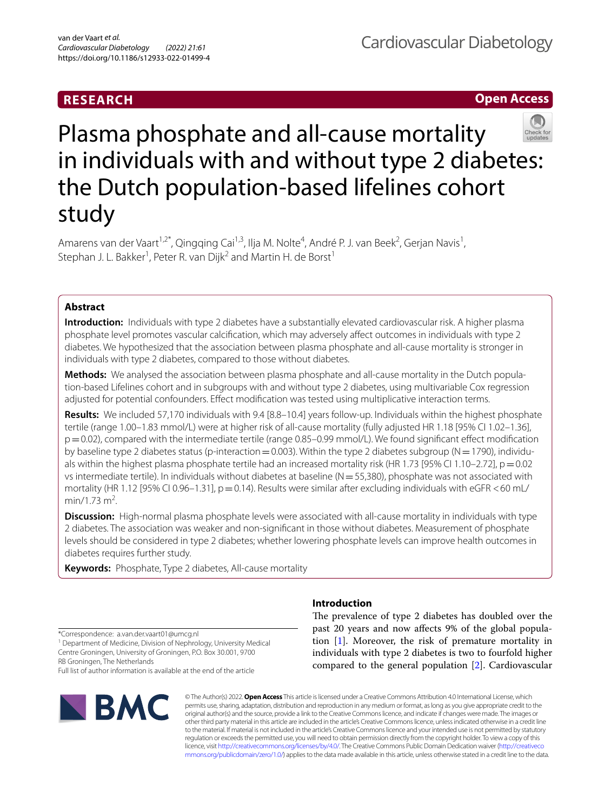# **RESEARCH**

**Open Access**

# Plasma phosphate and all-cause mortality in individuals with and without type 2 diabetes: the Dutch population-based lifelines cohort study

Amarens van der Vaart<sup>1,2\*</sup>, Qingqing Cai<sup>1,3</sup>, Ilja M. Nolte<sup>4</sup>, André P. J. van Beek<sup>2</sup>, Gerjan Navis<sup>1</sup>, Stephan J. L. Bakker<sup>1</sup>, Peter R. van Dijk<sup>2</sup> and Martin H. de Borst<sup>1</sup>

# **Abstract**

**Introduction:** Individuals with type 2 diabetes have a substantially elevated cardiovascular risk. A higher plasma phosphate level promotes vascular calcifcation, which may adversely afect outcomes in individuals with type 2 diabetes. We hypothesized that the association between plasma phosphate and all-cause mortality is stronger in individuals with type 2 diabetes, compared to those without diabetes.

**Methods:** We analysed the association between plasma phosphate and all-cause mortality in the Dutch population-based Lifelines cohort and in subgroups with and without type 2 diabetes, using multivariable Cox regression adjusted for potential confounders. Efect modifcation was tested using multiplicative interaction terms.

**Results:** We included 57,170 individuals with 9.4 [8.8–10.4] years follow-up. Individuals within the highest phosphate tertile (range 1.00–1.83 mmol/L) were at higher risk of all-cause mortality (fully adjusted HR 1.18 [95% CI 1.02–1.36], p=0.02), compared with the intermediate tertile (range 0.85–0.99 mmol/L). We found signifcant efect modifcation by baseline type 2 diabetes status (p-interaction = 0.003). Within the type 2 diabetes subgroup ( $N=1790$ ), individuals within the highest plasma phosphate tertile had an increased mortality risk (HR 1.73 [95% CI 1.10–2.72],  $p = 0.02$ vs intermediate tertile). In individuals without diabetes at baseline ( $N=55,380$ ), phosphate was not associated with mortality (HR 1.12 [95% CI 0.96–1.31],  $p=0.14$ ). Results were similar after excluding individuals with eGFR <60 mL/ min/1.73 m<sup>2</sup>. .

**Discussion:** High-normal plasma phosphate levels were associated with all-cause mortality in individuals with type 2 diabetes. The association was weaker and non-signifcant in those without diabetes. Measurement of phosphate levels should be considered in type 2 diabetes; whether lowering phosphate levels can improve health outcomes in diabetes requires further study.

**Keywords:** Phosphate, Type 2 diabetes, All-cause mortality

\*Correspondence: a.van.der.vaart01@umcg.nl

<sup>1</sup> Department of Medicine, Division of Nephrology, University Medical Centre Groningen, University of Groningen, P.O. Box 30.001, 9700 RB Groningen, The Netherlands

Full list of author information is available at the end of the article



## **Introduction**

The prevalence of type 2 diabetes has doubled over the past 20 years and now afects 9% of the global population [\[1\]](#page-8-0). Moreover, the risk of premature mortality in individuals with type 2 diabetes is two to fourfold higher compared to the general population [[2\]](#page-8-1). Cardiovascular

© The Author(s) 2022. **Open Access** This article is licensed under a Creative Commons Attribution 4.0 International License, which permits use, sharing, adaptation, distribution and reproduction in any medium or format, as long as you give appropriate credit to the original author(s) and the source, provide a link to the Creative Commons licence, and indicate if changes were made. The images or other third party material in this article are included in the article's Creative Commons licence, unless indicated otherwise in a credit line to the material. If material is not included in the article's Creative Commons licence and your intended use is not permitted by statutory regulation or exceeds the permitted use, you will need to obtain permission directly from the copyright holder. To view a copy of this licence, visit [http://creativecommons.org/licenses/by/4.0/.](http://creativecommons.org/licenses/by/4.0/) The Creative Commons Public Domain Dedication waiver ([http://creativeco](http://creativecommons.org/publicdomain/zero/1.0/) [mmons.org/publicdomain/zero/1.0/](http://creativecommons.org/publicdomain/zero/1.0/)) applies to the data made available in this article, unless otherwise stated in a credit line to the data.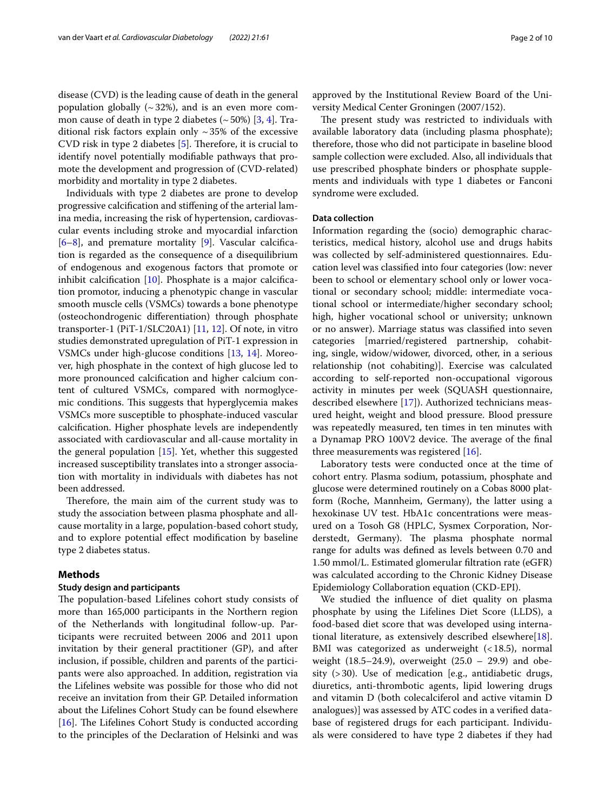disease (CVD) is the leading cause of death in the general population globally  $({\sim}32%)$ , and is an even more common cause of death in type 2 diabetes  $(\sim 50\%)$  [\[3](#page-8-2), [4\]](#page-8-3). Traditional risk factors explain only  $\sim$  35% of the excessive CVD risk in type 2 diabetes [\[5](#page-8-4)]. Therefore, it is crucial to identify novel potentially modifable pathways that promote the development and progression of (CVD-related) morbidity and mortality in type 2 diabetes.

Individuals with type 2 diabetes are prone to develop progressive calcifcation and stifening of the arterial lamina media, increasing the risk of hypertension, cardiovascular events including stroke and myocardial infarction  $[6-8]$  $[6-8]$ , and premature mortality  $[9]$  $[9]$ . Vascular calcification is regarded as the consequence of a disequilibrium of endogenous and exogenous factors that promote or inhibit calcifcation [\[10](#page-8-8)]. Phosphate is a major calcifcation promotor, inducing a phenotypic change in vascular smooth muscle cells (VSMCs) towards a bone phenotype (osteochondrogenic diferentiation) through phosphate transporter-1 (PiT-1/SLC20A1)  $[11, 12]$  $[11, 12]$  $[11, 12]$  $[11, 12]$  $[11, 12]$ . Of note, in vitro studies demonstrated upregulation of PiT-1 expression in VSMCs under high-glucose conditions [\[13,](#page-8-11) [14](#page-8-12)]. Moreover, high phosphate in the context of high glucose led to more pronounced calcifcation and higher calcium content of cultured VSMCs, compared with normoglycemic conditions. This suggests that hyperglycemia makes VSMCs more susceptible to phosphate-induced vascular calcifcation. Higher phosphate levels are independently associated with cardiovascular and all-cause mortality in the general population [[15](#page-8-13)]. Yet, whether this suggested increased susceptibility translates into a stronger association with mortality in individuals with diabetes has not been addressed.

Therefore, the main aim of the current study was to study the association between plasma phosphate and allcause mortality in a large, population-based cohort study, and to explore potential efect modifcation by baseline type 2 diabetes status.

#### **Methods**

#### **Study design and participants**

The population-based Lifelines cohort study consists of more than 165,000 participants in the Northern region of the Netherlands with longitudinal follow-up. Participants were recruited between 2006 and 2011 upon invitation by their general practitioner (GP), and after inclusion, if possible, children and parents of the participants were also approached. In addition, registration via the Lifelines website was possible for those who did not receive an invitation from their GP. Detailed information about the Lifelines Cohort Study can be found elsewhere [ $16$ ]. The Lifelines Cohort Study is conducted according to the principles of the Declaration of Helsinki and was approved by the Institutional Review Board of the University Medical Center Groningen (2007/152).

The present study was restricted to individuals with available laboratory data (including plasma phosphate); therefore, those who did not participate in baseline blood sample collection were excluded. Also, all individuals that use prescribed phosphate binders or phosphate supplements and individuals with type 1 diabetes or Fanconi syndrome were excluded.

#### **Data collection**

Information regarding the (socio) demographic characteristics, medical history, alcohol use and drugs habits was collected by self-administered questionnaires. Education level was classifed into four categories (low: never been to school or elementary school only or lower vocational or secondary school; middle: intermediate vocational school or intermediate/higher secondary school; high, higher vocational school or university; unknown or no answer). Marriage status was classifed into seven categories [married/registered partnership, cohabiting, single, widow/widower, divorced, other, in a serious relationship (not cohabiting)]. Exercise was calculated according to self-reported non-occupational vigorous activity in minutes per week (SQUASH questionnaire, described elsewhere [[17\]](#page-8-15)). Authorized technicians measured height, weight and blood pressure. Blood pressure was repeatedly measured, ten times in ten minutes with a Dynamap PRO 100V2 device. The average of the final three measurements was registered [\[16](#page-8-14)].

Laboratory tests were conducted once at the time of cohort entry. Plasma sodium, potassium, phosphate and glucose were determined routinely on a Cobas 8000 platform (Roche, Mannheim, Germany), the latter using a hexokinase UV test. HbA1c concentrations were measured on a Tosoh G8 (HPLC, Sysmex Corporation, Norderstedt, Germany). The plasma phosphate normal range for adults was defned as levels between 0.70 and 1.50 mmol/L. Estimated glomerular fltration rate (eGFR) was calculated according to the Chronic Kidney Disease Epidemiology Collaboration equation (CKD-EPI).

We studied the infuence of diet quality on plasma phosphate by using the Lifelines Diet Score (LLDS), a food-based diet score that was developed using international literature, as extensively described elsewhere[\[18](#page-8-16)]. BMI was categorized as underweight (<18.5), normal weight (18.5–24.9), overweight (25.0 – 29.9) and obesity (>30). Use of medication [e.g., antidiabetic drugs, diuretics, anti-thrombotic agents, lipid lowering drugs and vitamin D (both colecalciferol and active vitamin D analogues)] was assessed by ATC codes in a verifed database of registered drugs for each participant. Individuals were considered to have type 2 diabetes if they had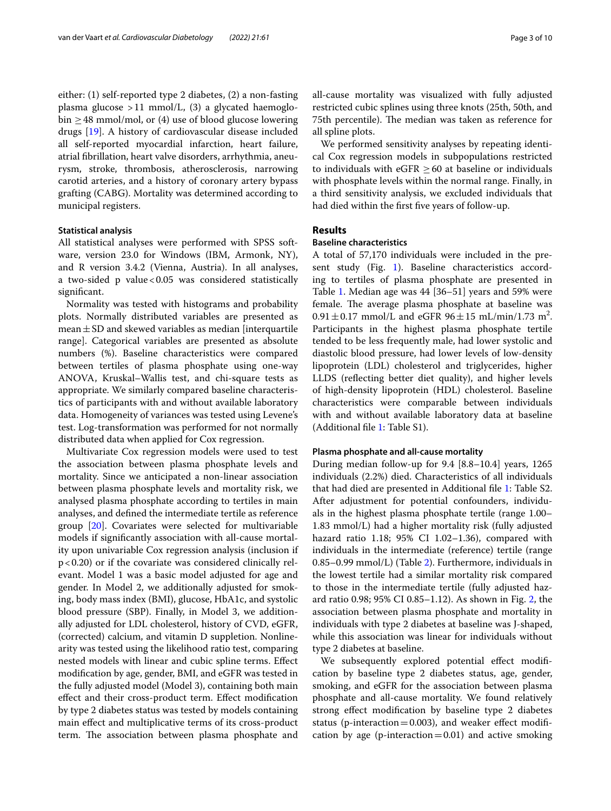either: (1) self-reported type 2 diabetes, (2) a non-fasting plasma glucose  $>11$  mmol/L, (3) a glycated haemoglobin  $\geq$  48 mmol/mol, or (4) use of blood glucose lowering drugs [\[19](#page-9-0)]. A history of cardiovascular disease included all self-reported myocardial infarction, heart failure, atrial fbrillation, heart valve disorders, arrhythmia, aneurysm, stroke, thrombosis, atherosclerosis, narrowing carotid arteries, and a history of coronary artery bypass grafting (CABG). Mortality was determined according to municipal registers.

#### **Statistical analysis**

All statistical analyses were performed with SPSS software, version 23.0 for Windows (IBM, Armonk, NY), and R version 3.4.2 (Vienna, Austria). In all analyses, a two-sided  $p$  value < 0.05 was considered statistically significant.

Normality was tested with histograms and probability plots. Normally distributed variables are presented as mean  $\pm$  SD and skewed variables as median [interquartile range]. Categorical variables are presented as absolute numbers (%). Baseline characteristics were compared between tertiles of plasma phosphate using one-way ANOVA, Kruskal–Wallis test, and chi-square tests as appropriate. We similarly compared baseline characteristics of participants with and without available laboratory data. Homogeneity of variances was tested using Levene's test. Log-transformation was performed for not normally distributed data when applied for Cox regression.

Multivariate Cox regression models were used to test the association between plasma phosphate levels and mortality. Since we anticipated a non-linear association between plasma phosphate levels and mortality risk, we analysed plasma phosphate according to tertiles in main analyses, and defned the intermediate tertile as reference group [\[20\]](#page-9-1). Covariates were selected for multivariable models if signifcantly association with all-cause mortality upon univariable Cox regression analysis (inclusion if  $p$  < 0.20) or if the covariate was considered clinically relevant. Model 1 was a basic model adjusted for age and gender. In Model 2, we additionally adjusted for smoking, body mass index (BMI), glucose, HbA1c, and systolic blood pressure (SBP). Finally, in Model 3, we additionally adjusted for LDL cholesterol, history of CVD, eGFR, (corrected) calcium, and vitamin D suppletion. Nonlinearity was tested using the likelihood ratio test, comparing nested models with linear and cubic spline terms. Efect modifcation by age, gender, BMI, and eGFR was tested in the fully adjusted model (Model 3), containing both main efect and their cross-product term. Efect modifcation by type 2 diabetes status was tested by models containing main efect and multiplicative terms of its cross-product term. The association between plasma phosphate and all-cause mortality was visualized with fully adjusted restricted cubic splines using three knots (25th, 50th, and 75th percentile). The median was taken as reference for all spline plots.

We performed sensitivity analyses by repeating identical Cox regression models in subpopulations restricted to individuals with eGFR  $\geq$  60 at baseline or individuals with phosphate levels within the normal range. Finally, in a third sensitivity analysis, we excluded individuals that had died within the frst fve years of follow-up.

### **Results**

#### **Baseline characteristics**

A total of 57,170 individuals were included in the present study (Fig. [1\)](#page-3-0). Baseline characteristics according to tertiles of plasma phosphate are presented in Table [1.](#page-4-0) Median age was 44 [36–51] years and 59% were female. The average plasma phosphate at baseline was  $0.91 \pm 0.17$  mmol/L and eGFR  $96 \pm 15$  mL/min/1.73 m<sup>2</sup>. Participants in the highest plasma phosphate tertile tended to be less frequently male, had lower systolic and diastolic blood pressure, had lower levels of low-density lipoprotein (LDL) cholesterol and triglycerides, higher LLDS (refecting better diet quality), and higher levels of high-density lipoprotein (HDL) cholesterol. Baseline characteristics were comparable between individuals with and without available laboratory data at baseline (Additional fle [1](#page-8-17): Table S1).

#### **Plasma phosphate and all‑cause mortality**

During median follow-up for 9.4 [8.8–10.4] years, 1265 individuals (2.2%) died. Characteristics of all individuals that had died are presented in Additional fle [1:](#page-8-17) Table S2. After adjustment for potential confounders, individuals in the highest plasma phosphate tertile (range 1.00– 1.83 mmol/L) had a higher mortality risk (fully adjusted hazard ratio 1.18; 95% CI 1.02–1.36), compared with individuals in the intermediate (reference) tertile (range 0.85–0.99 mmol/L) (Table [2\)](#page-5-0). Furthermore, individuals in the lowest tertile had a similar mortality risk compared to those in the intermediate tertile (fully adjusted hazard ratio 0.98; 95% CI 0.85–1.12). As shown in Fig. [2,](#page-6-0) the association between plasma phosphate and mortality in individuals with type 2 diabetes at baseline was J-shaped, while this association was linear for individuals without type 2 diabetes at baseline.

We subsequently explored potential effect modification by baseline type 2 diabetes status, age, gender, smoking, and eGFR for the association between plasma phosphate and all-cause mortality. We found relatively strong efect modifcation by baseline type 2 diabetes status (p-interaction  $=0.003$ ), and weaker effect modification by age (p-interaction  $=0.01$ ) and active smoking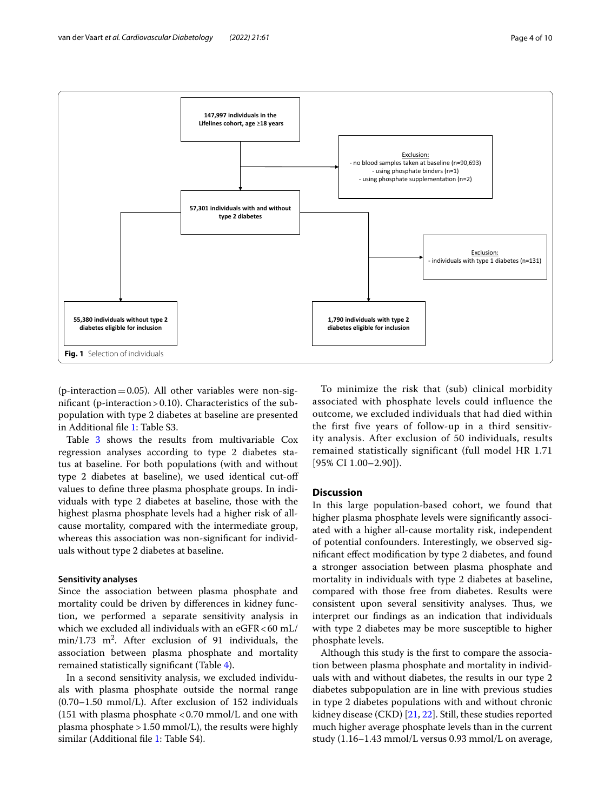

<span id="page-3-0"></span>(p-interaction=0.05). All other variables were non-signifcant (p-interaction>0.10). Characteristics of the subpopulation with type 2 diabetes at baseline are presented in Additional fle [1:](#page-8-17) Table S3.

Table [3](#page-7-0) shows the results from multivariable Cox regression analyses according to type 2 diabetes status at baseline. For both populations (with and without type 2 diabetes at baseline), we used identical cut-of values to defne three plasma phosphate groups. In individuals with type 2 diabetes at baseline, those with the highest plasma phosphate levels had a higher risk of allcause mortality, compared with the intermediate group, whereas this association was non-significant for individuals without type 2 diabetes at baseline.

#### **Sensitivity analyses**

Since the association between plasma phosphate and mortality could be driven by diferences in kidney function, we performed a separate sensitivity analysis in which we excluded all individuals with an  $e$ GFR < 60 mL/  $min/1.73$   $m^2$ . After exclusion of 91 individuals, the association between plasma phosphate and mortality remained statistically signifcant (Table [4](#page-7-1)).

In a second sensitivity analysis, we excluded individuals with plasma phosphate outside the normal range (0.70–1.50 mmol/L). After exclusion of 152 individuals (151 with plasma phosphate  $<$  0.70 mmol/L and one with plasma phosphate >1.50 mmol/L), the results were highly similar (Additional file [1:](#page-8-17) Table S4).

To minimize the risk that (sub) clinical morbidity associated with phosphate levels could influence the outcome, we excluded individuals that had died within the first five years of follow-up in a third sensitivity analysis. After exclusion of 50 individuals, results remained statistically significant (full model HR 1.71 [95% CI 1.00–2.90]).

#### **Discussion**

In this large population-based cohort, we found that higher plasma phosphate levels were signifcantly associated with a higher all-cause mortality risk, independent of potential confounders. Interestingly, we observed signifcant efect modifcation by type 2 diabetes, and found a stronger association between plasma phosphate and mortality in individuals with type 2 diabetes at baseline, compared with those free from diabetes. Results were consistent upon several sensitivity analyses. Thus, we interpret our fndings as an indication that individuals with type 2 diabetes may be more susceptible to higher phosphate levels.

Although this study is the frst to compare the association between plasma phosphate and mortality in individuals with and without diabetes, the results in our type 2 diabetes subpopulation are in line with previous studies in type 2 diabetes populations with and without chronic kidney disease (CKD) [[21,](#page-9-2) [22\]](#page-9-3). Still, these studies reported much higher average phosphate levels than in the current study (1.16–1.43 mmol/L versus 0.93 mmol/L on average,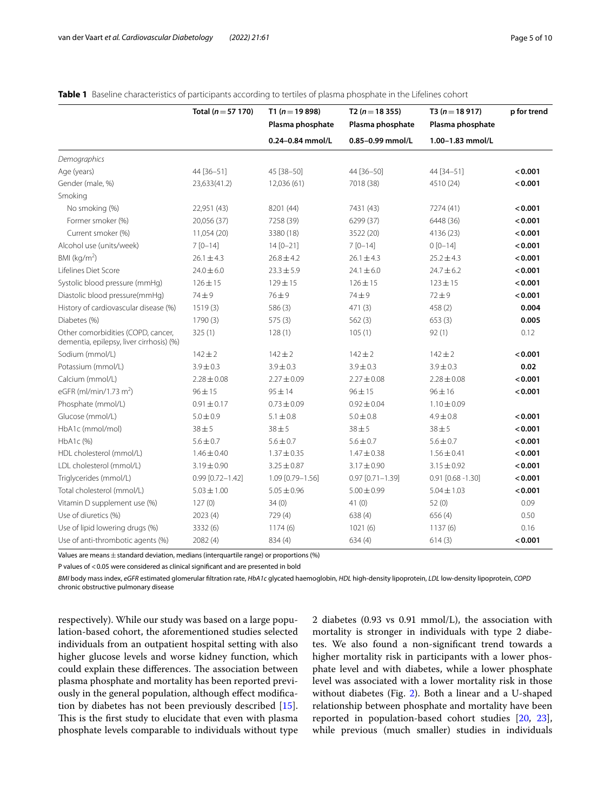|                                                                                | Total ( $n = 57$ 170) | T1 ( $n = 19898$ ) | T2 ( $n = 18355$ ) | T3 ( $n = 18917$ )     | p for trend |
|--------------------------------------------------------------------------------|-----------------------|--------------------|--------------------|------------------------|-------------|
|                                                                                |                       | Plasma phosphate   | Plasma phosphate   | Plasma phosphate       |             |
|                                                                                |                       | 0.24-0.84 mmol/L   | 0.85-0.99 mmol/L   | 1.00-1.83 mmol/L       |             |
| Demographics                                                                   |                       |                    |                    |                        |             |
| Age (years)                                                                    | 44 [36-51]            | 45 [38-50]         | 44 [36-50]         | 44 [34-51]             | < 0.001     |
| Gender (male, %)                                                               | 23,633(41.2)          | 12,036 (61)        | 7018 (38)          | 4510 (24)              | < 0.001     |
| Smoking                                                                        |                       |                    |                    |                        |             |
| No smoking (%)                                                                 | 22,951 (43)           | 8201 (44)          | 7431 (43)          | 7274 (41)              | < 0.001     |
| Former smoker (%)                                                              | 20,056 (37)           | 7258 (39)          | 6299 (37)          | 6448 (36)              | < 0.001     |
| Current smoker (%)                                                             | 11,054 (20)           | 3380 (18)          | 3522 (20)          | 4136 (23)              | < 0.001     |
| Alcohol use (units/week)                                                       | $7[0-14]$             | $14 [0 - 21]$      | $7[0-14]$          | $0[0-14]$              | < 0.001     |
| BMI ( $kg/m2$ )                                                                | $26.1 \pm 4.3$        | $26.8 \pm 4.2$     | $26.1 \pm 4.3$     | $25.2 \pm 4.3$         | < 0.001     |
| Lifelines Diet Score                                                           | $24.0 \pm 6.0$        | $23.3 \pm 5.9$     | $24.1 \pm 6.0$     | $24.7 \pm 6.2$         | < 0.001     |
| Systolic blood pressure (mmHg)                                                 | $126 \pm 15$          | $129 \pm 15$       | $126 \pm 15$       | $123 \pm 15$           | < 0.001     |
| Diastolic blood pressure(mmHg)                                                 | $74 \pm 9$            | $76 \pm 9$         | $74 \pm 9$         | $72 + 9$               | < 0.001     |
| History of cardiovascular disease (%)                                          | 1519(3)               | 586(3)             | 471(3)             | 458 (2)                | 0.004       |
| Diabetes (%)                                                                   | 1790 (3)              | 575(3)             | 562(3)             | 653(3)                 | 0.005       |
| Other comorbidities (COPD, cancer,<br>dementia, epilepsy, liver cirrhosis) (%) | 325(1)                | 128(1)             | 105(1)             | 92(1)                  | 0.12        |
| Sodium (mmol/L)                                                                | $142 + 2$             | $142 + 2$          | $142 + 2$          | $142 + 2$              | < 0.001     |
| Potassium (mmol/L)                                                             | $3.9 \pm 0.3$         | $3.9 \pm 0.3$      | $3.9 \pm 0.3$      | $3.9 \pm 0.3$          | 0.02        |
| Calcium (mmol/L)                                                               | $2.28 \pm 0.08$       | $2.27 \pm 0.09$    | $2.27 \pm 0.08$    | $2.28 \pm 0.08$        | < 0.001     |
| eGFR (ml/min/1.73 m <sup>2</sup> )                                             | $96 \pm 15$           | $95 \pm 14$        | 96 ± 15            | $96 \pm 16$            | < 0.001     |
| Phosphate (mmol/L)                                                             | $0.91 \pm 0.17$       | $0.73 \pm 0.09$    | $0.92 \pm 0.04$    | $1.10 \pm 0.09$        |             |
| Glucose (mmol/L)                                                               | $5.0 \pm 0.9$         | $5.1 \pm 0.8$      | $5.0 \pm 0.8$      | $4.9 \pm 0.8$          | < 0.001     |
| HbA1c (mmol/mol)                                                               | $38 + 5$              | $38 + 5$           | $38 + 5$           | $38 \pm 5$             | < 0.001     |
| HbA1c(%)                                                                       | $5.6 \pm 0.7$         | $5.6 \pm 0.7$      | $5.6 \pm 0.7$      | $5.6 \pm 0.7$          | < 0.001     |
| HDL cholesterol (mmol/L)                                                       | $1.46 \pm 0.40$       | $1.37 \pm 0.35$    | $1.47 \pm 0.38$    | $1.56 \pm 0.41$        | < 0.001     |
| LDL cholesterol (mmol/L)                                                       | $3.19 \pm 0.90$       | $3.25 \pm 0.87$    | $3.17 \pm 0.90$    | $3.15 \pm 0.92$        | < 0.001     |
| Triglycerides (mmol/L)                                                         | $0.99$ [0.72-1.42]    | 1.09 [0.79-1.56]   | $0.97$ [0.71-1.39] | $0.91$ $[0.68 - 1.30]$ | < 0.001     |
| Total cholesterol (mmol/L)                                                     | $5.03 \pm 1.00$       | $5.05 \pm 0.96$    | $5.00 \pm 0.99$    | $5.04 \pm 1.03$        | < 0.001     |
| Vitamin D supplement use (%)                                                   | 127(0)                | 34(0)              | 41(0)              | 52(0)                  | 0.09        |
| Use of diuretics (%)                                                           | 2023(4)               | 729 (4)            | 638(4)             | 656 (4)                | 0.50        |
| Use of lipid lowering drugs (%)                                                | 3332 (6)              | 1174(6)            | 1021(6)            | 1137(6)                | 0.16        |
| Use of anti-thrombotic agents (%)                                              | 2082(4)               | 834 (4)            | 634(4)             | 614(3)                 | < 0.001     |

#### <span id="page-4-0"></span>**Table 1** Baseline characteristics of participants according to tertiles of plasma phosphate in the Lifelines cohort

Values are means  $\pm$  standard deviation, medians (interquartile range) or proportions (%)

P values of <0.05 were considered as clinical significant and are presented in bold

*BMI* body mass index, *eGFR* estimated glomerular fltration rate, *HbA1c* glycated haemoglobin, *HDL* high-density lipoprotein, *LDL* low-density lipoprotein, *COPD* chronic obstructive pulmonary disease

respectively). While our study was based on a large population-based cohort, the aforementioned studies selected individuals from an outpatient hospital setting with also higher glucose levels and worse kidney function, which could explain these differences. The association between plasma phosphate and mortality has been reported previously in the general population, although efect modifcation by diabetes has not been previously described [\[15](#page-8-13)]. This is the first study to elucidate that even with plasma phosphate levels comparable to individuals without type 2 diabetes (0.93 vs 0.91 mmol/L), the association with mortality is stronger in individuals with type 2 diabetes. We also found a non-signifcant trend towards a higher mortality risk in participants with a lower phosphate level and with diabetes, while a lower phosphate level was associated with a lower mortality risk in those without diabetes (Fig. [2](#page-6-0)). Both a linear and a U-shaped relationship between phosphate and mortality have been reported in population-based cohort studies [[20,](#page-9-1) [23](#page-9-4)], while previous (much smaller) studies in individuals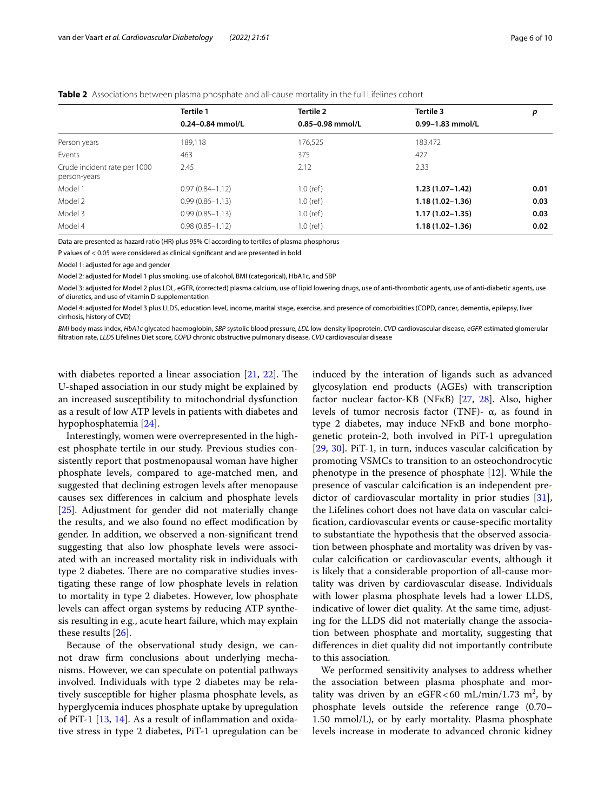<span id="page-5-0"></span>

|                                              | Tertile 1            | <b>Tertile 2</b> | Tertile 3           | р    |
|----------------------------------------------|----------------------|------------------|---------------------|------|
|                                              | $0.24 - 0.84$ mmol/L | 0.85-0.98 mmol/L | 0.99-1.83 mmol/L    |      |
| Person years                                 | 189,118              | 176,525          | 183,472             |      |
| Events                                       | 463                  | 375              | 427                 |      |
| Crude incident rate per 1000<br>person-years | 2.45                 | 2.12             | 2.33                |      |
| Model 1                                      | $0.97(0.84 - 1.12)$  | $1.0$ (ref)      | $1.23(1.07-1.42)$   | 0.01 |
| Model 2                                      | $0.99(0.86 - 1.13)$  | $1.0$ (ref)      | $1.18(1.02 - 1.36)$ | 0.03 |
| Model 3                                      | $0.99(0.85 - 1.13)$  | $1.0$ (ref)      | $1.17(1.02 - 1.35)$ | 0.03 |
| Model 4                                      | $0.98(0.85 - 1.12)$  | $1.0$ (ref)      | $1.18(1.02 - 1.36)$ | 0.02 |

Data are presented as hazard ratio (HR) plus 95% CI according to tertiles of plasma phosphorus

P values of < 0.05 were considered as clinical signifcant and are presented in bold

Model 1: adjusted for age and gender

Model 2: adjusted for Model 1 plus smoking, use of alcohol, BMI (categorical), HbA1c, and SBP

Model 3: adjusted for Model 2 plus LDL, eGFR, (corrected) plasma calcium, use of lipid lowering drugs, use of anti-thrombotic agents, use of anti-diabetic agents, use of diuretics, and use of vitamin D supplementation

Model 4: adjusted for Model 3 plus LLDS, education level, income, marital stage, exercise, and presence of comorbidities (COPD, cancer, dementia, epilepsy, liver cirrhosis, history of CVD)

*BMI* body mass index, *HbA1c* glycated haemoglobin, *SBP* systolic blood pressure, *LDL* low-density lipoprotein, *CVD* cardiovascular disease, *eGFR* estimated glomerular fltration rate, *LLDS* Lifelines Diet score, *COPD* chronic obstructive pulmonary disease, *CVD* cardiovascular disease

with diabetes reported a linear association  $[21, 22]$  $[21, 22]$  $[21, 22]$  $[21, 22]$ . The U-shaped association in our study might be explained by an increased susceptibility to mitochondrial dysfunction as a result of low ATP levels in patients with diabetes and hypophosphatemia [\[24](#page-9-5)].

Interestingly, women were overrepresented in the highest phosphate tertile in our study. Previous studies consistently report that postmenopausal woman have higher phosphate levels, compared to age-matched men, and suggested that declining estrogen levels after menopause causes sex diferences in calcium and phosphate levels [[25\]](#page-9-6). Adjustment for gender did not materially change the results, and we also found no efect modifcation by gender. In addition, we observed a non-signifcant trend suggesting that also low phosphate levels were associated with an increased mortality risk in individuals with type 2 diabetes. There are no comparative studies investigating these range of low phosphate levels in relation to mortality in type 2 diabetes. However, low phosphate levels can afect organ systems by reducing ATP synthesis resulting in e.g., acute heart failure, which may explain these results [[26\]](#page-9-7).

Because of the observational study design, we cannot draw frm conclusions about underlying mechanisms. However, we can speculate on potential pathways involved. Individuals with type 2 diabetes may be relatively susceptible for higher plasma phosphate levels, as hyperglycemia induces phosphate uptake by upregulation of PiT-1 [[13](#page-8-11), [14](#page-8-12)]. As a result of infammation and oxidative stress in type 2 diabetes, PiT-1 upregulation can be induced by the interation of ligands such as advanced glycosylation end products (AGEs) with transcription factor nuclear factor-KB (NFκB) [[27](#page-9-8), [28\]](#page-9-9). Also, higher levels of tumor necrosis factor (TNF)- α, as found in type 2 diabetes, may induce NFκB and bone morphogenetic protein-2, both involved in PiT-1 upregulation [[29,](#page-9-10) [30](#page-9-11)]. PiT-1, in turn, induces vascular calcifcation by promoting VSMCs to transition to an osteochondrocytic phenotype in the presence of phosphate [[12\]](#page-8-10). While the presence of vascular calcifcation is an independent predictor of cardiovascular mortality in prior studies [\[31](#page-9-12)], the Lifelines cohort does not have data on vascular calcifcation, cardiovascular events or cause-specifc mortality to substantiate the hypothesis that the observed association between phosphate and mortality was driven by vascular calcifcation or cardiovascular events, although it is likely that a considerable proportion of all-cause mortality was driven by cardiovascular disease. Individuals with lower plasma phosphate levels had a lower LLDS, indicative of lower diet quality. At the same time, adjusting for the LLDS did not materially change the association between phosphate and mortality, suggesting that diferences in diet quality did not importantly contribute to this association.

We performed sensitivity analyses to address whether the association between plasma phosphate and mortality was driven by an eGFR < 60 mL/min/1.73 m<sup>2</sup>, by phosphate levels outside the reference range (0.70– 1.50 mmol/L), or by early mortality. Plasma phosphate levels increase in moderate to advanced chronic kidney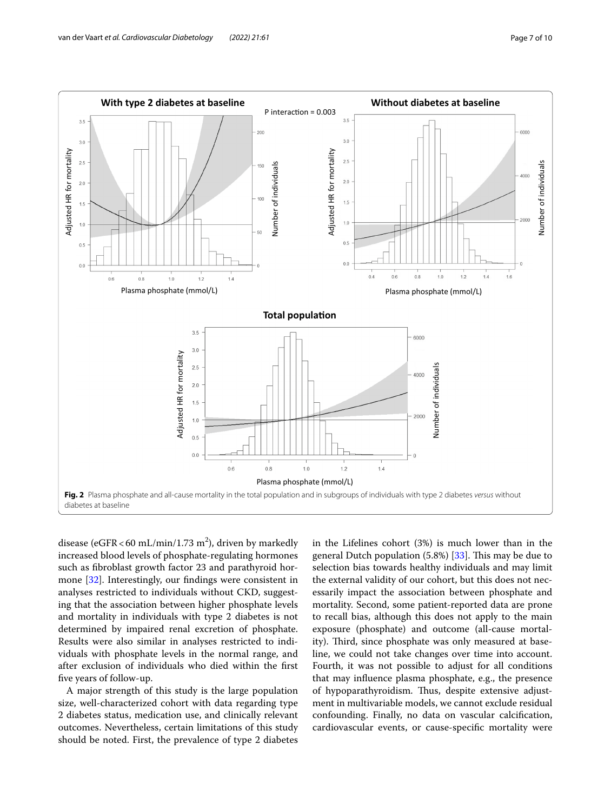

<span id="page-6-0"></span>disease (eGFR < 60 mL/min/1.73 m<sup>2</sup>), driven by markedly increased blood levels of phosphate-regulating hormones such as fbroblast growth factor 23 and parathyroid hormone [\[32](#page-9-13)]. Interestingly, our fndings were consistent in analyses restricted to individuals without CKD, suggesting that the association between higher phosphate levels and mortality in individuals with type 2 diabetes is not determined by impaired renal excretion of phosphate. Results were also similar in analyses restricted to individuals with phosphate levels in the normal range, and after exclusion of individuals who died within the frst fve years of follow-up.

A major strength of this study is the large population size, well-characterized cohort with data regarding type 2 diabetes status, medication use, and clinically relevant outcomes. Nevertheless, certain limitations of this study should be noted. First, the prevalence of type 2 diabetes in the Lifelines cohort (3%) is much lower than in the general Dutch population  $(5.8%)$   $[33]$  $[33]$ . This may be due to selection bias towards healthy individuals and may limit the external validity of our cohort, but this does not necessarily impact the association between phosphate and mortality. Second, some patient-reported data are prone to recall bias, although this does not apply to the main exposure (phosphate) and outcome (all-cause mortality). Third, since phosphate was only measured at baseline, we could not take changes over time into account. Fourth, it was not possible to adjust for all conditions that may infuence plasma phosphate, e.g., the presence of hypoparathyroidism. Thus, despite extensive adjustment in multivariable models, we cannot exclude residual confounding. Finally, no data on vascular calcifcation, cardiovascular events, or cause-specifc mortality were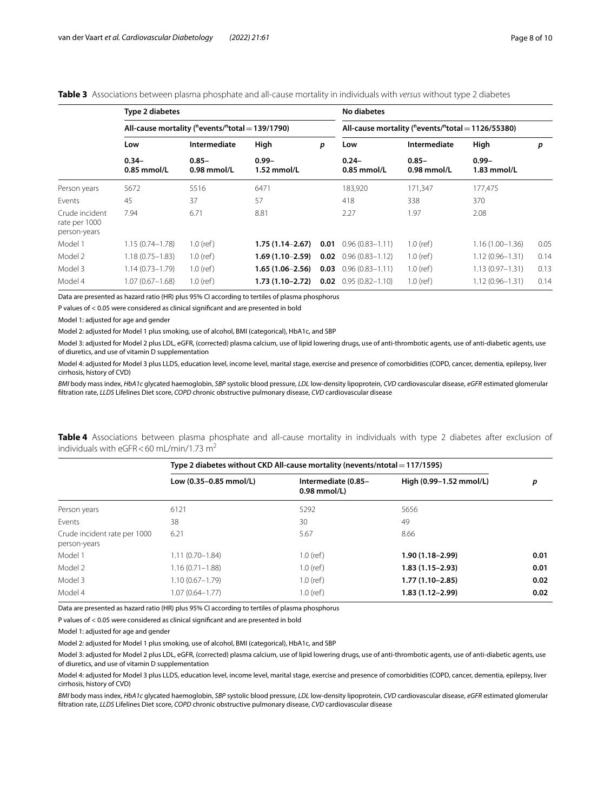#### <span id="page-7-0"></span>**Table 3** Associations between plasma phosphate and all-cause mortality in individuals with *versus* without type 2 diabetes

|                                                 | Type 2 diabetes<br>All-cause mortality ( $n$ events/ $n$ total = 139/1790) |                           |                           |      | No diabetes                                               |                           |                         |      |
|-------------------------------------------------|----------------------------------------------------------------------------|---------------------------|---------------------------|------|-----------------------------------------------------------|---------------------------|-------------------------|------|
|                                                 |                                                                            |                           |                           |      | All-cause mortality ( $n$ events/ $n$ total = 1126/55380) |                           |                         |      |
|                                                 | Low                                                                        | Intermediate              | High                      | p    | Low                                                       | Intermediate              | High                    | p    |
|                                                 | $0.34 -$<br>$0.85$ mmol/L                                                  | $0.85 -$<br>$0.98$ mmol/L | $0.99 -$<br>$1.52$ mmol/L |      | $0.24 -$<br>$0.85$ mmol/L                                 | $0.85 -$<br>$0.98$ mmol/L | $0.99 -$<br>1.83 mmol/L |      |
| Person years                                    | 5672                                                                       | 5516                      | 6471                      |      | 183,920                                                   | 171,347                   | 177,475                 |      |
| <b>Fvents</b>                                   | 45                                                                         | 37                        | 57                        |      | 418                                                       | 338                       | 370                     |      |
| Crude incident<br>rate per 1000<br>person-years | 7.94                                                                       | 6.71                      | 8.81                      |      | 2.27                                                      | 1.97                      | 2.08                    |      |
| Model 1                                         | $1.15(0.74 - 1.78)$                                                        | $1.0$ (ref)               | $1.75(1.14-2.67)$         | 0.01 | $0.96(0.83 - 1.11)$                                       | $1.0$ (ref)               | $1.16(1.00 - 1.36)$     | 0.05 |
| Model 2                                         | $1.18(0.75 - 1.83)$                                                        | $1.0$ (ref)               | $1.69(1.10-2.59)$         | 0.02 | $0.96(0.83 - 1.12)$                                       | $1.0$ (ref)               | $1.12(0.96 - 1.31)$     | 0.14 |
| Model 3                                         | $1.14(0.73 - 1.79)$                                                        | $1.0$ (ref)               | $1.65(1.06-2.56)$         |      | <b>0.03</b> $0.96(0.83 - 1.11)$                           | $1.0$ (ref)               | $1.13(0.97 - 1.31)$     | 0.13 |
| Model 4                                         | 1.07 (0.67-1.68)                                                           | $1.0$ (ref)               | 1.73 (1.10–2.72)          | 0.02 | $0.95(0.82 - 1.10)$                                       | $1.0$ (ref)               | $1.12(0.96 - 1.31)$     | 0.14 |

Data are presented as hazard ratio (HR) plus 95% CI according to tertiles of plasma phosphorus

P values of < 0.05 were considered as clinical signifcant and are presented in bold

Model 1: adjusted for age and gender

Model 2: adjusted for Model 1 plus smoking, use of alcohol, BMI (categorical), HbA1c, and SBP

Model 3: adjusted for Model 2 plus LDL, eGFR, (corrected) plasma calcium, use of lipid lowering drugs, use of anti-thrombotic agents, use of anti-diabetic agents, use of diuretics, and use of vitamin D supplementation

Model 4: adjusted for Model 3 plus LLDS, education level, income level, marital stage, exercise and presence of comorbidities (COPD, cancer, dementia, epilepsy, liver cirrhosis, history of CVD)

*BMI* body mass index, *HbA1c* glycated haemoglobin, *SBP* systolic blood pressure, *LDL* low-density lipoprotein, *CVD* cardiovascular disease, *eGFR* estimated glomerular fltration rate, *LLDS* Lifelines Diet score, *COPD* chronic obstructive pulmonary disease, *CVD* cardiovascular disease

<span id="page-7-1"></span>**Table 4** Associations between plasma phosphate and all-cause mortality in individuals with type 2 diabetes after exclusion of individuals with  $e$ GFR < 60 mL/min/1.73 m<sup>2</sup>

|                                              | Type 2 diabetes without CKD All-cause mortality (nevents/ntotal = 117/1595) |                                       |                         |      |  |
|----------------------------------------------|-----------------------------------------------------------------------------|---------------------------------------|-------------------------|------|--|
|                                              | Low (0.35-0.85 mmol/L)                                                      | Intermediate (0.85-<br>$0.98$ mmol/L) | High (0.99-1.52 mmol/L) | р    |  |
| Person years                                 | 6121                                                                        | 5292                                  | 5656                    |      |  |
| <b>Fvents</b>                                | 38                                                                          | 30                                    | 49                      |      |  |
| Crude incident rate per 1000<br>person-years | 6.21                                                                        | 5.67                                  | 8.66                    |      |  |
| Model 1                                      | $1.11(0.70 - 1.84)$                                                         | $1.0$ (ref)                           | 1.90 (1.18-2.99)        | 0.01 |  |
| Model 2                                      | $1.16(0.71 - 1.88)$                                                         | $1.0$ (ref)                           | $1.83(1.15-2.93)$       | 0.01 |  |
| Model 3                                      | $1.10(0.67 - 1.79)$                                                         | $1.0$ (ref)                           | $1.77(1.10-2.85)$       | 0.02 |  |
| Model 4                                      | $1.07(0.64 - 1.77)$                                                         | $1.0$ (ref)                           | 1.83 (1.12–2.99)        | 0.02 |  |

Data are presented as hazard ratio (HR) plus 95% CI according to tertiles of plasma phosphorus

P values of < 0.05 were considered as clinical signifcant and are presented in bold

Model 1: adjusted for age and gender

Model 2: adjusted for Model 1 plus smoking, use of alcohol, BMI (categorical), HbA1c, and SBP

Model 3: adjusted for Model 2 plus LDL, eGFR, (corrected) plasma calcium, use of lipid lowering drugs, use of anti-thrombotic agents, use of anti-diabetic agents, use of diuretics, and use of vitamin D supplementation

Model 4: adjusted for Model 3 plus LLDS, education level, income level, marital stage, exercise and presence of comorbidities (COPD, cancer, dementia, epilepsy, liver cirrhosis, history of CVD)

*BMI* body mass index, *HbA1c* glycated haemoglobin, *SBP* systolic blood pressure, *LDL* low-density lipoprotein, *CVD* cardiovascular disease, *eGFR* estimated glomerular fltration rate, *LLDS* Lifelines Diet score, *COPD* chronic obstructive pulmonary disease, *CVD* cardiovascular disease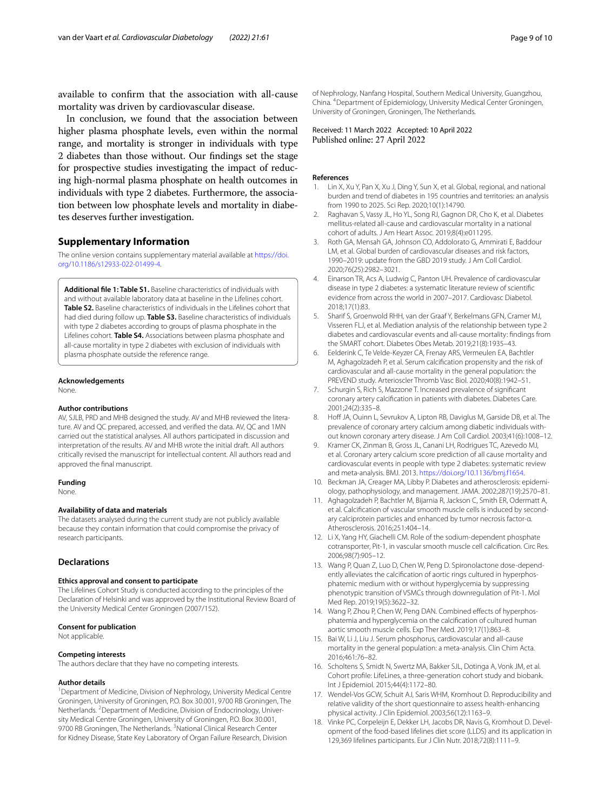available to confrm that the association with all-cause mortality was driven by cardiovascular disease.

In conclusion, we found that the association between higher plasma phosphate levels, even within the normal range, and mortality is stronger in individuals with type 2 diabetes than those without. Our fndings set the stage for prospective studies investigating the impact of reducing high-normal plasma phosphate on health outcomes in individuals with type 2 diabetes. Furthermore, the association between low phosphate levels and mortality in diabetes deserves further investigation.

#### **Supplementary Information**

The online version contains supplementary material available at [https://doi.](https://doi.org/10.1186/s12933-022-01499-4) [org/10.1186/s12933-022-01499-4](https://doi.org/10.1186/s12933-022-01499-4).

<span id="page-8-17"></span>**Additional fle 1: Table S1.** Baseline characteristics of individuals with and without available laboratory data at baseline in the Lifelines cohort. **Table S2.** Baseline characteristics of individuals in the Lifelines cohort that had died during follow up. **Table S3.** Baseline characteristics of individuals with type 2 diabetes according to groups of plasma phosphate in the Lifelines cohort. **Table S4.** Associations between plasma phosphate and all-cause mortality in type 2 diabetes with exclusion of individuals with plasma phosphate outside the reference range.

#### **Acknowledgements**

None.

#### **Author contributions**

AV, SJLB, PRD and MHB designed the study. AV and MHB reviewed the literature. AV and QC prepared, accessed, and verifed the data. AV, QC and 1MN carried out the statistical analyses. All authors participated in discussion and interpretation of the results. AV and MHB wrote the initial draft. All authors critically revised the manuscript for intellectual content. All authors read and approved the fnal manuscript.

#### **Funding**

None.

#### **Availability of data and materials**

The datasets analysed during the current study are not publicly available because they contain information that could compromise the privacy of research participants.

#### **Declarations**

#### **Ethics approval and consent to participate**

The Lifelines Cohort Study is conducted according to the principles of the Declaration of Helsinki and was approved by the Institutional Review Board of the University Medical Center Groningen (2007/152).

#### **Consent for publication**

Not applicable.

#### **Competing interests**

The authors declare that they have no competing interests.

#### **Author details**

<sup>1</sup> Department of Medicine, Division of Nephrology, University Medical Centre Groningen, University of Groningen, P.O. Box 30.001, 9700 RB Groningen, The Netherlands. <sup>2</sup> Department of Medicine, Division of Endocrinology, University Medical Centre Groningen, University of Groningen, P.O. Box 30.001, 9700 RB Groningen, The Netherlands. <sup>3</sup> National Clinical Research Center for Kidney Disease, State Key Laboratory of Organ Failure Research, Division

of Nephrology, Nanfang Hospital, Southern Medical University, Guangzhou, China. 4 Department of Epidemiology, University Medical Center Groningen, University of Groningen, Groningen, The Netherlands.

Received: 11 March 2022 Accepted: 10 April 2022 Published online: 27 April 2022

#### **References**

- <span id="page-8-0"></span>1. Lin X, Xu Y, Pan X, Xu J, Ding Y, Sun X, et al. Global, regional, and national burden and trend of diabetes in 195 countries and territories: an analysis from 1990 to 2025. Sci Rep. 2020;10(1):14790.
- <span id="page-8-1"></span>2. Raghavan S, Vassy JL, Ho YL, Song RJ, Gagnon DR, Cho K, et al. Diabetes mellitus-related all-cause and cardiovascular mortality in a national cohort of adults. J Am Heart Assoc. 2019;8(4):e011295.
- <span id="page-8-2"></span>3. Roth GA, Mensah GA, Johnson CO, Addolorato G, Ammirati E, Baddour LM, et al. Global burden of cardiovascular diseases and risk factors, 1990–2019: update from the GBD 2019 study. J Am Coll Cardiol. 2020;76(25):2982–3021.
- <span id="page-8-3"></span>4. Einarson TR, Acs A, Ludwig C, Panton UH. Prevalence of cardiovascular disease in type 2 diabetes: a systematic literature review of scientifc evidence from across the world in 2007–2017. Cardiovasc Diabetol. 2018;17(1):83.
- <span id="page-8-4"></span>5. Sharif S, Groenwold RHH, van der Graaf Y, Berkelmans GFN, Cramer MJ, Visseren FLJ, et al. Mediation analysis of the relationship between type 2 diabetes and cardiovascular events and all-cause mortality: fndings from the SMART cohort. Diabetes Obes Metab. 2019;21(8):1935–43.
- <span id="page-8-5"></span>6. Eelderink C, Te Velde-Keyzer CA, Frenay ARS, Vermeulen EA, Bachtler M, Aghagolzadeh P, et al. Serum calcifcation propensity and the risk of cardiovascular and all-cause mortality in the general population: the PREVEND study. Arterioscler Thromb Vasc Biol. 2020;40(8):1942–51.
- 7. Schurgin S, Rich S, Mazzone T. Increased prevalence of signifcant coronary artery calcifcation in patients with diabetes. Diabetes Care. 2001;24(2):335–8.
- <span id="page-8-6"></span>8. Hoff JA, Ouinn L, Sevrukov A, Lipton RB, Daviglus M, Garside DB, et al. The prevalence of coronary artery calcium among diabetic individuals without known coronary artery disease. J Am Coll Cardiol. 2003;41(6):1008–12.
- <span id="page-8-7"></span>9. Kramer CK, Zinman B, Gross JL, Canani LH, Rodrigues TC, Azevedo MJ, et al. Coronary artery calcium score prediction of all cause mortality and cardiovascular events in people with type 2 diabetes: systematic review and meta-analysis. BMJ. 2013. [https://doi.org/10.1136/bmj.f1654.](https://doi.org/10.1136/bmj.f1654)
- <span id="page-8-8"></span>10. Beckman JA, Creager MA, Libby P. Diabetes and atherosclerosis: epidemiology, pathophysiology, and management. JAMA. 2002;287(19):2570–81.
- <span id="page-8-9"></span>11. Aghagolzadeh P, Bachtler M, Bijarnia R, Jackson C, Smith ER, Odermatt A, et al. Calcifcation of vascular smooth muscle cells is induced by secondary calciprotein particles and enhanced by tumor necrosis factor-α. Atherosclerosis. 2016;251:404–14.
- <span id="page-8-10"></span>12. Li X, Yang HY, Giachelli CM. Role of the sodium-dependent phosphate cotransporter, Pit-1, in vascular smooth muscle cell calcifcation. Circ Res. 2006;98(7):905–12.
- <span id="page-8-11"></span>13. Wang P, Quan Z, Luo D, Chen W, Peng D. Spironolactone dose-dependently alleviates the calcifcation of aortic rings cultured in hyperphosphatemic medium with or without hyperglycemia by suppressing phenotypic transition of VSMCs through downregulation of Pit-1. Mol Med Rep. 2019;19(5):3622–32.
- <span id="page-8-12"></span>14. Wang P, Zhou P, Chen W, Peng DAN. Combined effects of hyperphosphatemia and hyperglycemia on the calcifcation of cultured human aortic smooth muscle cells. Exp Ther Med. 2019;17(1):863–8.
- <span id="page-8-13"></span>15. Bai W, Li J, Liu J. Serum phosphorus, cardiovascular and all-cause mortality in the general population: a meta-analysis. Clin Chim Acta. 2016;461:76–82.
- <span id="page-8-14"></span>16. Scholtens S, Smidt N, Swertz MA, Bakker SJL, Dotinga A, Vonk JM, et al. Cohort profle: LifeLines, a three-generation cohort study and biobank. Int J Epidemiol. 2015;44(4):1172–80.
- <span id="page-8-15"></span>17. Wendel-Vos GCW, Schuit AJ, Saris WHM, Kromhout D. Reproducibility and relative validity of the short questionnaire to assess health-enhancing physical activity. J Clin Epidemiol. 2003;56(12):1163–9.
- <span id="page-8-16"></span>18. Vinke PC, Corpeleijn E, Dekker LH, Jacobs DR, Navis G, Kromhout D. Development of the food-based lifelines diet score (LLDS) and its application in 129,369 lifelines participants. Eur J Clin Nutr. 2018;72(8):1111–9.